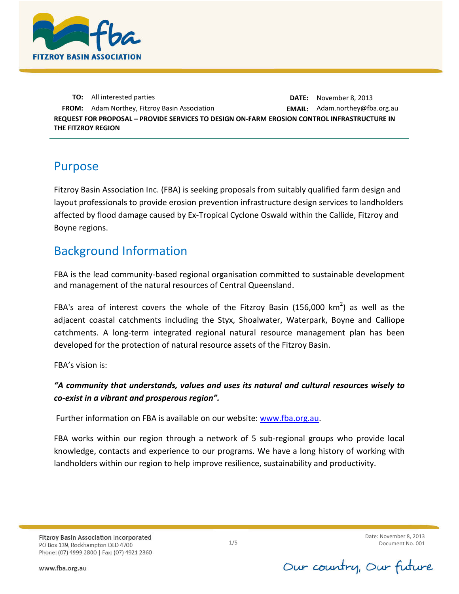

**TO:** All interested parties **DATE:** November 8, 2013 **FROM:** Adam Northey, Fitzroy Basin Association **EMAIL:** Adam.northey@fba.org.au **REQUEST FOR PROPOSAL – PROVIDE SERVICES TO DESIGN ON-FARM EROSION CONTROL INFRASTRUCTURE IN THE FITZROY REGION**

#### Purpose

Fitzroy Basin Association Inc. (FBA) is seeking proposals from suitably qualified farm design and layout professionals to provide erosion prevention infrastructure design services to landholders affected by flood damage caused by Ex‐Tropical Cyclone Oswald within the Callide, Fitzroy and Boyne regions.

## Background Information

FBA is the lead community-based regional organisation committed to sustainable development and management of the natural resources of Central Queensland.

FBA's area of interest covers the whole of the Fitzroy Basin (156,000 km<sup>2</sup>) as well as the adjacent coastal catchments including the Styx, Shoalwater, Waterpark, Boyne and Calliope catchments. A long-term integrated regional natural resource management plan has been developed for the protection of natural resource assets of the Fitzroy Basin.

FBA's vision is:

#### *"A community that understands, values and uses its natural and cultural resources wisely to co-exist in a vibrant and prosperous region".*

Further information on FBA is available on our website: [www.fba.org.au.](http://www.fba.org.au/)

FBA works within our region through a network of 5 sub-regional groups who provide local knowledge, contacts and experience to our programs. We have a long history of working with landholders within our region to help improve resilience, sustainability and productivity.

Our country, Our future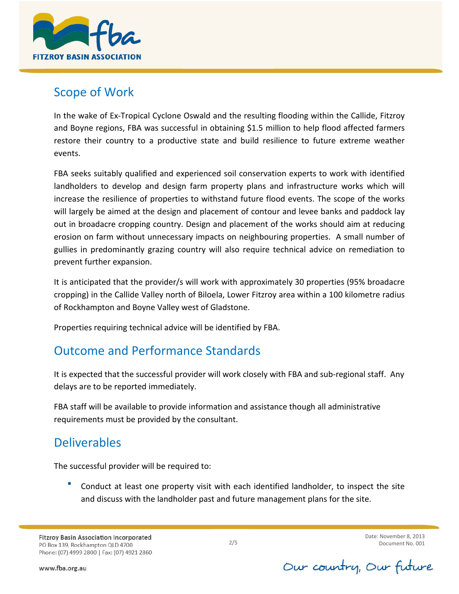

## Scope of Work

In the wake of Ex‐Tropical Cyclone Oswald and the resulting flooding within the Callide, Fitzroy and Boyne regions, FBA was successful in obtaining \$1.5 million to help flood affected farmers restore their country to a productive state and build resilience to future extreme weather events.

FBA seeks suitably qualified and experienced soil conservation experts to work with identified landholders to develop and design farm property plans and infrastructure works which will increase the resilience of properties to withstand future flood events. The scope of the works will largely be aimed at the design and placement of contour and levee banks and paddock lay out in broadacre cropping country. Design and placement of the works should aim at reducing erosion on farm without unnecessary impacts on neighbouring properties. A small number of gullies in predominantly grazing country will also require technical advice on remediation to prevent further expansion.

It is anticipated that the provider/s will work with approximately 30 properties (95% broadacre cropping) in the Callide Valley north of Biloela, Lower Fitzroy area within a 100 kilometre radius of Rockhampton and Boyne Valley west of Gladstone.

Properties requiring technical advice will be identified by FBA.

# Outcome and Performance Standards

It is expected that the successful provider will work closely with FBA and sub-regional staff. Any delays are to be reported immediately.

FBA staff will be available to provide information and assistance though all administrative requirements must be provided by the consultant.

# **Deliverables**

The successful provider will be required to:

 Conduct at least one property visit with each identified landholder, to inspect the site and discuss with the landholder past and future management plans for the site.

Our country, Our future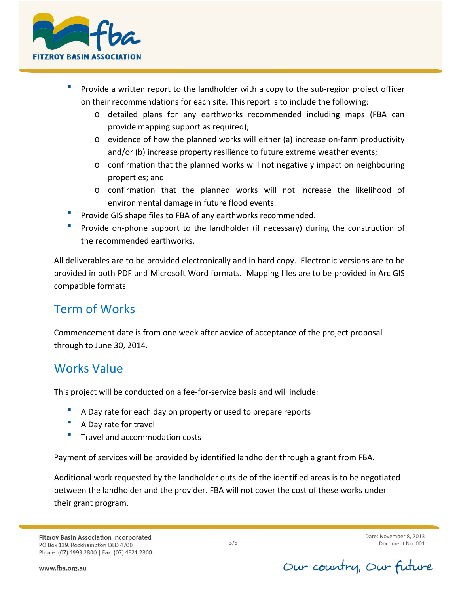

- Provide a written report to the landholder with a copy to the sub-region project officer on their recommendations for each site. This report is to include the following:
	- o detailed plans for any earthworks recommended including maps (FBA can provide mapping support as required);
	- o evidence of how the planned works will either (a) increase on-farm productivity and/or (b) increase property resilience to future extreme weather events;
	- o confirmation that the planned works will not negatively impact on neighbouring properties; and
	- o confirmation that the planned works will not increase the likelihood of environmental damage in future flood events.
- Provide GIS shape files to FBA of any earthworks recommended.
- Provide on-phone support to the landholder (if necessary) during the construction of the recommended earthworks.

All deliverables are to be provided electronically and in hard copy. Electronic versions are to be provided in both PDF and Microsoft Word formats. Mapping files are to be provided in Arc GIS compatible formats

# Term of Works

Commencement date is from one week after advice of acceptance of the project proposal through to June 30, 2014.

# Works Value

This project will be conducted on a fee-for-service basis and will include:

- A Day rate for each day on property or used to prepare reports
- A Day rate for travel
- Travel and accommodation costs

Payment of services will be provided by identified landholder through a grant from FBA.

Additional work requested by the landholder outside of the identified areas is to be negotiated between the landholder and the provider. FBA will not cover the cost of these works under their grant program.

Our country, Our future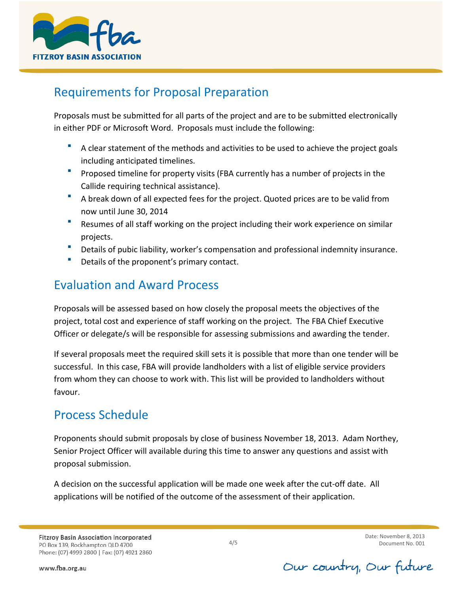

## Requirements for Proposal Preparation

Proposals must be submitted for all parts of the project and are to be submitted electronically in either PDF or Microsoft Word. Proposals must include the following:

- A clear statement of the methods and activities to be used to achieve the project goals including anticipated timelines.
- Proposed timeline for property visits (FBA currently has a number of projects in the Callide requiring technical assistance).
- A break down of all expected fees for the project. Quoted prices are to be valid from now until June 30, 2014
- Resumes of all staff working on the project including their work experience on similar projects.
- Details of pubic liability, worker's compensation and professional indemnity insurance.
- **Details of the proponent's primary contact.**

## Evaluation and Award Process

Proposals will be assessed based on how closely the proposal meets the objectives of the project, total cost and experience of staff working on the project. The FBA Chief Executive Officer or delegate/s will be responsible for assessing submissions and awarding the tender.

If several proposals meet the required skill sets it is possible that more than one tender will be successful. In this case, FBA will provide landholders with a list of eligible service providers from whom they can choose to work with. This list will be provided to landholders without favour.

# Process Schedule

Proponents should submit proposals by close of business November 18, 2013. Adam Northey, Senior Project Officer will available during this time to answer any questions and assist with proposal submission.

A decision on the successful application will be made one week after the cut-off date. All applications will be notified of the outcome of the assessment of their application.

**Fitzroy Basin Association Incorporated** PO Box 139, Rockhampton QLD 4700 Phone: (07) 4999 2800 | Fax: (07) 4921 2860

4/5

Date: November 8, 2013 Document No. 001

www.fba.org.au

Our country, Our future